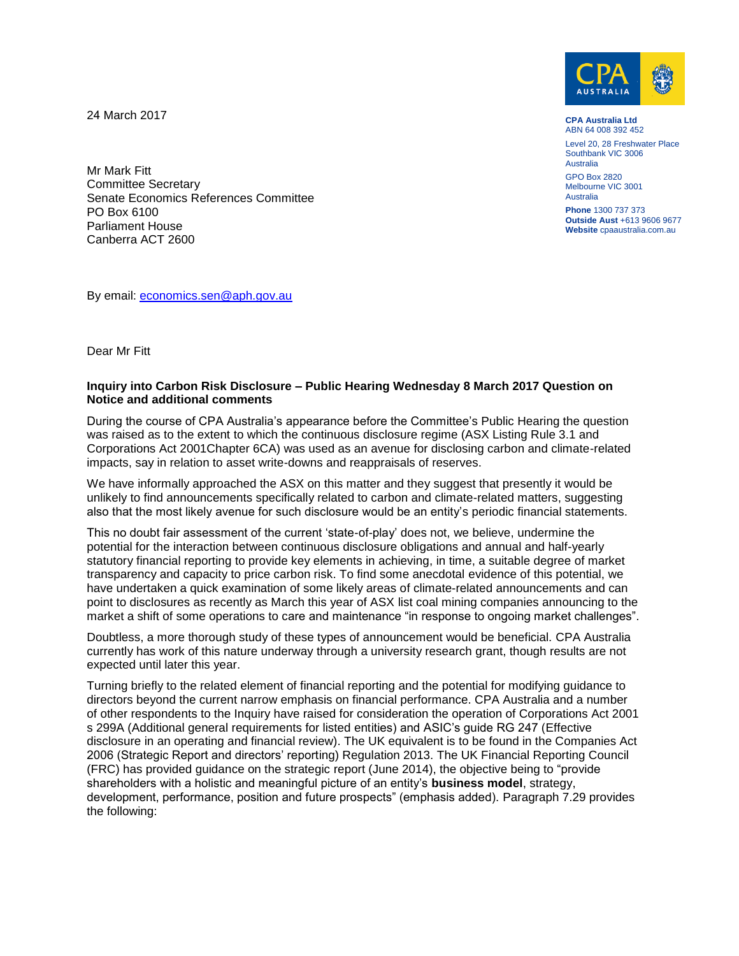24 March 2017



**CPA Australia Ltd** ABN 64 008 392 452

Level 20, 28 Freshwater Place Southbank VIC 3006 Australia

GPO Box 2820 Melbourne VIC 3001 Australia

**Phone** 1300 737 373 **Outside Aust** +613 9606 9677 **Website** cpaaustralia.com.au

Mr Mark Fitt Committee Secretary Senate Economics References Committee PO Box 6100 Parliament House Canberra ACT 2600

By email: [economics.sen@aph.gov.au](mailto:economics.sen@aph.gov.au)

Dear Mr Fitt

## **Inquiry into Carbon Risk Disclosure – Public Hearing Wednesday 8 March 2017 Question on Notice and additional comments**

During the course of CPA Australia's appearance before the Committee's Public Hearing the question was raised as to the extent to which the continuous disclosure regime (ASX Listing Rule 3.1 and Corporations Act 2001Chapter 6CA) was used as an avenue for disclosing carbon and climate-related impacts, say in relation to asset write-downs and reappraisals of reserves.

We have informally approached the ASX on this matter and they suggest that presently it would be unlikely to find announcements specifically related to carbon and climate-related matters, suggesting also that the most likely avenue for such disclosure would be an entity's periodic financial statements.

This no doubt fair assessment of the current 'state-of-play' does not, we believe, undermine the potential for the interaction between continuous disclosure obligations and annual and half-yearly statutory financial reporting to provide key elements in achieving, in time, a suitable degree of market transparency and capacity to price carbon risk. To find some anecdotal evidence of this potential, we have undertaken a quick examination of some likely areas of climate-related announcements and can point to disclosures as recently as March this year of ASX list coal mining companies announcing to the market a shift of some operations to care and maintenance "in response to ongoing market challenges".

Doubtless, a more thorough study of these types of announcement would be beneficial. CPA Australia currently has work of this nature underway through a university research grant, though results are not expected until later this year.

Turning briefly to the related element of financial reporting and the potential for modifying guidance to directors beyond the current narrow emphasis on financial performance. CPA Australia and a number of other respondents to the Inquiry have raised for consideration the operation of Corporations Act 2001 s 299A (Additional general requirements for listed entities) and ASIC's guide RG 247 (Effective disclosure in an operating and financial review). The UK equivalent is to be found in the Companies Act 2006 (Strategic Report and directors' reporting) Regulation 2013. The UK Financial Reporting Council (FRC) has provided guidance on the strategic report (June 2014), the objective being to "provide shareholders with a holistic and meaningful picture of an entity's **business model**, strategy, development, performance, position and future prospects" (emphasis added). Paragraph 7.29 provides the following: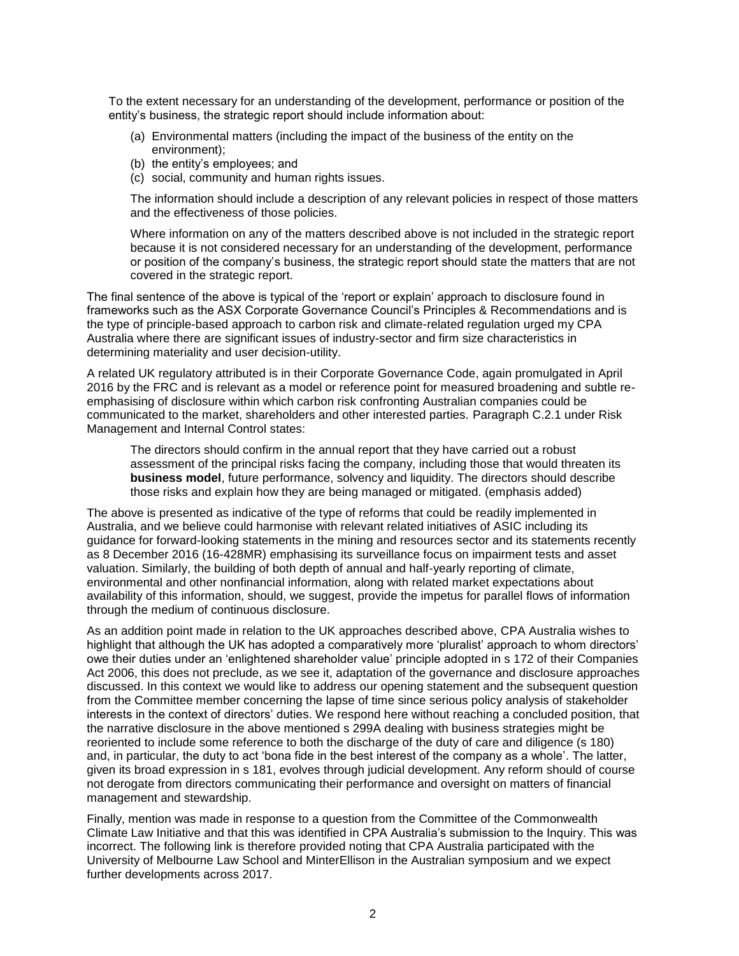To the extent necessary for an understanding of the development, performance or position of the entity's business, the strategic report should include information about:

- (a) Environmental matters (including the impact of the business of the entity on the environment);
- (b) the entity's employees; and
- (c) social, community and human rights issues.

The information should include a description of any relevant policies in respect of those matters and the effectiveness of those policies.

Where information on any of the matters described above is not included in the strategic report because it is not considered necessary for an understanding of the development, performance or position of the company's business, the strategic report should state the matters that are not covered in the strategic report.

The final sentence of the above is typical of the 'report or explain' approach to disclosure found in frameworks such as the ASX Corporate Governance Council's Principles & Recommendations and is the type of principle-based approach to carbon risk and climate-related regulation urged my CPA Australia where there are significant issues of industry-sector and firm size characteristics in determining materiality and user decision-utility.

A related UK regulatory attributed is in their Corporate Governance Code, again promulgated in April 2016 by the FRC and is relevant as a model or reference point for measured broadening and subtle reemphasising of disclosure within which carbon risk confronting Australian companies could be communicated to the market, shareholders and other interested parties. Paragraph C.2.1 under Risk Management and Internal Control states:

The directors should confirm in the annual report that they have carried out a robust assessment of the principal risks facing the company, including those that would threaten its **business model**, future performance, solvency and liquidity. The directors should describe those risks and explain how they are being managed or mitigated. (emphasis added)

The above is presented as indicative of the type of reforms that could be readily implemented in Australia, and we believe could harmonise with relevant related initiatives of ASIC including its guidance for forward-looking statements in the mining and resources sector and its statements recently as 8 December 2016 (16-428MR) emphasising its surveillance focus on impairment tests and asset valuation. Similarly, the building of both depth of annual and half-yearly reporting of climate, environmental and other nonfinancial information, along with related market expectations about availability of this information, should, we suggest, provide the impetus for parallel flows of information through the medium of continuous disclosure.

As an addition point made in relation to the UK approaches described above, CPA Australia wishes to highlight that although the UK has adopted a comparatively more 'pluralist' approach to whom directors' owe their duties under an 'enlightened shareholder value' principle adopted in s 172 of their Companies Act 2006, this does not preclude, as we see it, adaptation of the governance and disclosure approaches discussed. In this context we would like to address our opening statement and the subsequent question from the Committee member concerning the lapse of time since serious policy analysis of stakeholder interests in the context of directors' duties. We respond here without reaching a concluded position, that the narrative disclosure in the above mentioned s 299A dealing with business strategies might be reoriented to include some reference to both the discharge of the duty of care and diligence (s 180) and, in particular, the duty to act 'bona fide in the best interest of the company as a whole'. The latter, given its broad expression in s 181, evolves through judicial development. Any reform should of course not derogate from directors communicating their performance and oversight on matters of financial management and stewardship.

Finally, mention was made in response to a question from the Committee of the Commonwealth Climate Law Initiative and that this was identified in CPA Australia's submission to the Inquiry. This was incorrect. The following link is therefore provided noting that CPA Australia participated with the University of Melbourne Law School and MinterEllison in the Australian symposium and we expect further developments across 2017.